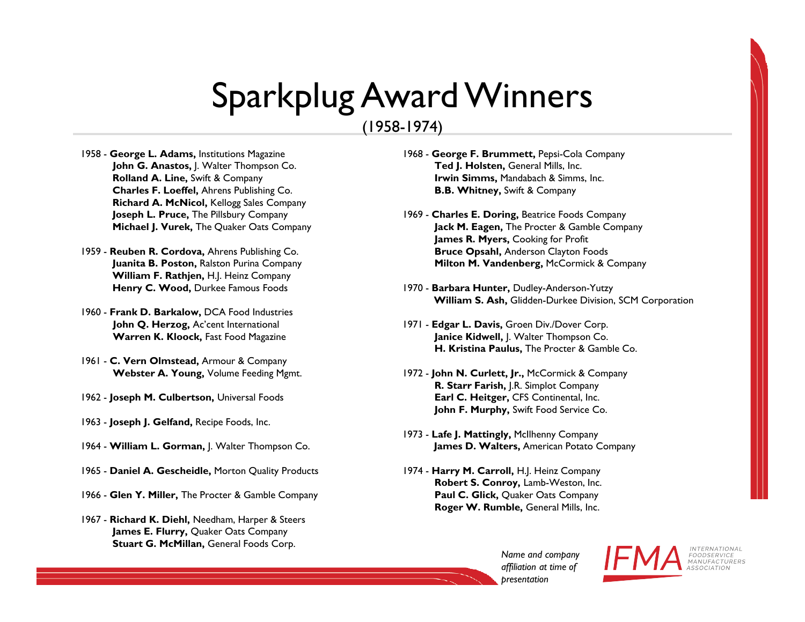#### (1958-1974)

- 1958 **George L. Adams,** Institutions Magazine **John G. Anastos,** J. Walter Thompson Co. **Rolland A. Line,** Swift & Company **Charles F. Loeffel,** Ahrens Publishing Co. **Richard A. McNicol,** Kellogg Sales Company **Joseph L. Pruce,** The Pillsbury Company **Michael J. Vurek,** The Quaker Oats Company
- 1959 **Reuben R. Cordova,** Ahrens Publishing Co. **Juanita B. Poston,** Ralston Purina Company **William F. Rathjen,** H.J. Heinz Company **Henry C. Wood,** Durkee Famous Foods
- 1960 **Frank D. Barkalow,** DCA Food Industries **John Q. Herzog,** Ac'cent International **Warren K. Kloock,** Fast Food Magazine
- 1961 **C. Vern Olmstead,** Armour & Company **Webster A. Young,** Volume Feeding Mgmt.
- 1962 **Joseph M. Culbertson,** Universal Foods
- 1963 **Joseph J. Gelfand,** Recipe Foods, Inc.
- 1964 **William L. Gorman,** J. Walter Thompson Co.
- 1965 **Daniel A. Gescheidle,** Morton Quality Products
- 1966 **Glen Y. Miller,** The Procter & Gamble Company
- 1967 **Richard K. Diehl,** Needham, Harper & Steers **James E. Flurry,** Quaker Oats Company **Stuart G. McMillan,** General Foods Corp.
- 1968 **George F. Brummett,** Pepsi-Cola Company **Ted J. Holsten,** General Mills, Inc. **Irwin Simms,** Mandabach & Simms, Inc. **B.B. Whitney,** Swift & Company
- 1969 **Charles E. Doring,** Beatrice Foods Company **Jack M. Eagen,** The Procter & Gamble Company **James R. Myers,** Cooking for Profit **Bruce Opsahl,** Anderson Clayton Foods **Milton M. Vandenberg, McCormick & Company**
- 1970 **Barbara Hunter,** Dudley-Anderson-Yutzy **William S. Ash,** Glidden-Durkee Division, SCM Corporation
- 1971 **Edgar L. Davis,** Groen Div./Dover Corp. **Janice Kidwell,** J. Walter Thompson Co. **H. Kristina Paulus,** The Procter & Gamble Co.
- 1972 **John N. Curlett, Jr.,** McCormick & Company **R. Starr Farish,** J.R. Simplot Company **Earl C. Heitger,** CFS Continental, Inc. **John F. Murphy,** Swift Food Service Co.
- 1973 **Lafe J. Mattingly,** McIlhenny Company **James D. Walters,** American Potato Company
- 1974 **Harry M. Carroll,** H.J. Heinz Company **Robert S. Conroy,** Lamb-Weston, Inc. **Paul C. Glick,** Quaker Oats Company **Roger W. Rumble,** General Mills, Inc.

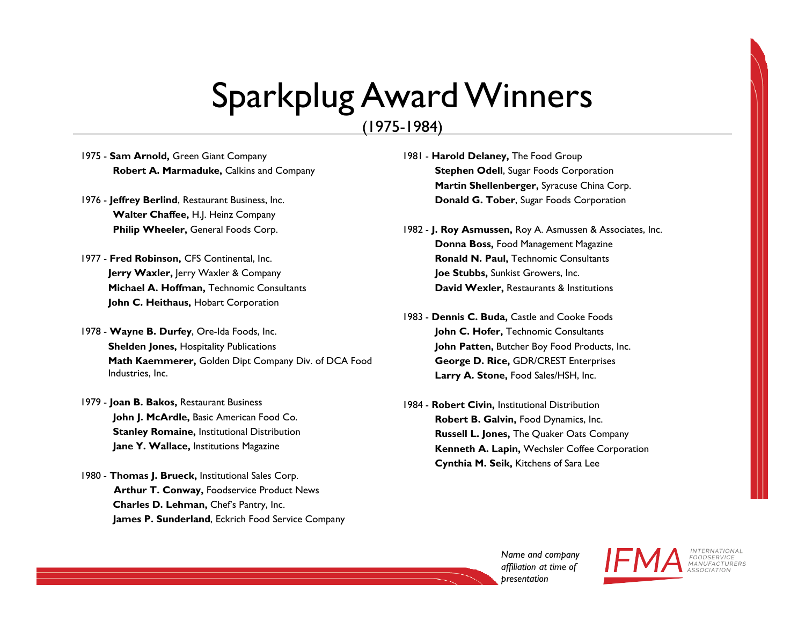#### (1975-1984)

- 1975 **Sam Arnold,** Green Giant Company **Robert A. Marmaduke,** Calkins and Company
- 1976 **Jeffrey Berlind**, Restaurant Business, Inc. **Walter Chaffee,** H.J. Heinz Company **Philip Wheeler,** General Foods Corp.
- 1977 **Fred Robinson,** CFS Continental, Inc. **Jerry Waxler,** Jerry Waxler & Company **Michael A. Hoffman,** Technomic Consultants **John C. Heithaus,** Hobart Corporation
- 1978 **Wayne B. Durfey**, Ore-Ida Foods, Inc. **Shelden Jones, Hospitality Publications Math Kaemmerer,** Golden Dipt Company Div. of DCA Food Industries, Inc.
- 1979 **Joan B. Bakos,** Restaurant Business **John J. McArdle,** Basic American Food Co. **Stanley Romaine,** Institutional Distribution **Jane Y. Wallace,** Institutions Magazine
- 1980 **Thomas J. Brueck,** Institutional Sales Corp. **Arthur T. Conway,** Foodservice Product News **Charles D. Lehman,** Chef's Pantry, Inc. **James P. Sunderland**, Eckrich Food Service Company
- 1981 **Harold Delaney,** The Food Group **Stephen Odell**, Sugar Foods Corporation **Martin Shellenberger,** Syracuse China Corp. **Donald G. Tober**, Sugar Foods Corporation
- 1982 **J. Roy Asmussen,** Roy A. Asmussen & Associates, Inc. **Donna Boss,** Food Management Magazine **Ronald N. Paul,** Technomic Consultants **Joe Stubbs,** Sunkist Growers, Inc. **David Wexler,** Restaurants & Institutions
- 1983 **Dennis C. Buda,** Castle and Cooke Foods **John C. Hofer,** Technomic Consultants **John Patten,** Butcher Boy Food Products, Inc. **George D. Rice,** GDR/CREST Enterprises **Larry A. Stone,** Food Sales/HSH, Inc.
- 1984 **Robert Civin,** Institutional Distribution **Robert B. Galvin,** Food Dynamics, Inc. **Russell L. Jones,** The Quaker Oats Company **Kenneth A. Lapin,** Wechsler Coffee Corporation **Cynthia M. Seik,** Kitchens of Sara Lee

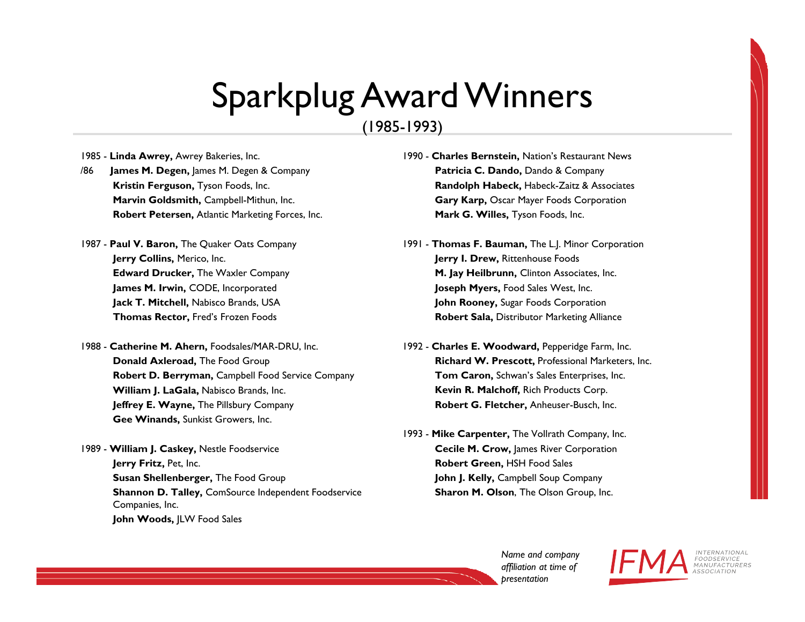(1985-1993)

1985 - **Linda Awrey,** Awrey Bakeries, Inc.

- /86 **James M. Degen,** James M. Degen & Company **Kristin Ferguson,** Tyson Foods, Inc. **Marvin Goldsmith,** Campbell-Mithun, Inc. **Robert Petersen,** Atlantic Marketing Forces, Inc.
- 1987 **Paul V. Baron,** The Quaker Oats Company **Jerry Collins,** Merico, Inc. **Edward Drucker,** The Waxler Company **James M. Irwin,** CODE, Incorporated **Jack T. Mitchell,** Nabisco Brands, USA **Thomas Rector,** Fred's Frozen Foods
- 1988 **Catherine M. Ahern,** Foodsales/MAR-DRU, Inc. **Donald Axleroad,** The Food Group **Robert D. Berryman,** Campbell Food Service Company **William J. LaGala,** Nabisco Brands, Inc. **Jeffrey E. Wayne,** The Pillsbury Company **Gee Winands,** Sunkist Growers, Inc.
- 1989 **William J. Caskey,** Nestle Foodservice **Jerry Fritz,** Pet, Inc. **Susan Shellenberger,** The Food Group **Shannon D. Talley,** ComSource Independent Foodservice Companies, Inc. **John Woods,** JLW Food Sales
- 1990 **Charles Bernstein,** Nation's Restaurant News **Patricia C. Dando,** Dando & Company **Randolph Habeck,** Habeck-Zaitz & Associates **Gary Karp,** Oscar Mayer Foods Corporation **Mark G. Willes,** Tyson Foods, Inc.
- 1991 **Thomas F. Bauman,** The L.J. Minor Corporation **Jerry I. Drew,** Rittenhouse Foods **M. Jay Heilbrunn,** Clinton Associates, Inc. **Joseph Myers,** Food Sales West, Inc. **John Rooney,** Sugar Foods Corporation **Robert Sala,** Distributor Marketing Alliance
- 1992 **Charles E. Woodward,** Pepperidge Farm, Inc. **Richard W. Prescott,** Professional Marketers, Inc. **Tom Caron,** Schwan's Sales Enterprises, Inc. **Kevin R. Malchoff,** Rich Products Corp. **Robert G. Fletcher,** Anheuser-Busch, Inc.
- 1993 **Mike Carpenter,** The Vollrath Company, Inc. **Cecile M. Crow, James River Corporation Robert Green,** HSH Food Sales **John J. Kelly,** Campbell Soup Company **Sharon M. Olson**, The Olson Group, Inc.

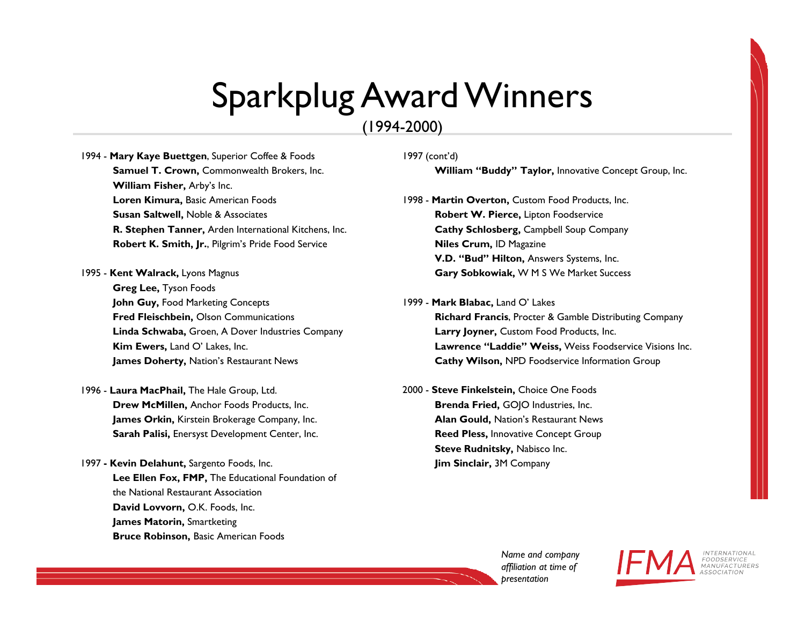#### (1994-2000)

- 1994 **Mary Kaye Buettgen**, Superior Coffee & Foods **Samuel T. Crown,** Commonwealth Brokers, Inc. **William Fisher,** Arby's Inc. **Loren Kimura,** Basic American Foods **Susan Saltwell,** Noble & Associates **R. Stephen Tanner,** Arden International Kitchens, Inc. **Robert K. Smith, Jr.**, Pilgrim's Pride Food Service
- 1995 **Kent Walrack,** Lyons Magnus **Greg Lee,** Tyson Foods **John Guy,** Food Marketing Concepts **Fred Fleischbein,** Olson Communications **Linda Schwaba,** Groen, A Dover Industries Company **Kim Ewers,** Land O' Lakes, Inc. **James Doherty,** Nation's Restaurant News
- 1996 **Laura MacPhail,** The Hale Group, Ltd. **Drew McMillen,** Anchor Foods Products, Inc. **James Orkin,** Kirstein Brokerage Company, Inc. **Sarah Palisi,** Enersyst Development Center, Inc.
- 1997 **- Kevin Delahunt,** Sargento Foods, Inc. **Lee Ellen Fox, FMP,** The Educational Foundation of the National Restaurant Association **David Lovvorn,** O.K. Foods, Inc. **James Matorin,** Smartketing **Bruce Robinson,** Basic American Foods

#### 1997 (cont'd)

**William "Buddy" Taylor,** Innovative Concept Group, Inc.

- 1998 **Martin Overton,** Custom Food Products, Inc. **Robert W. Pierce,** Lipton Foodservice **Cathy Schlosberg,** Campbell Soup Company **Niles Crum,** ID Magazine **V.D. "Bud" Hilton,** Answers Systems, Inc. **Gary Sobkowiak,** W M S We Market Success
- 1999 **Mark Blabac,** Land O' Lakes **Richard Francis**, Procter & Gamble Distributing Company **Larry Joyner,** Custom Food Products, Inc. **Lawrence "Laddie" Weiss,** Weiss Foodservice Visions Inc. **Cathy Wilson,** NPD Foodservice Information Group
- 2000 **Steve Finkelstein,** Choice One Foods **Brenda Fried,** GOJO Industries, Inc. **Alan Gould,** Nation's Restaurant News **Reed Pless,** Innovative Concept Group **Steve Rudnitsky, Nabisco Inc. Jim Sinclair,** 3M Company

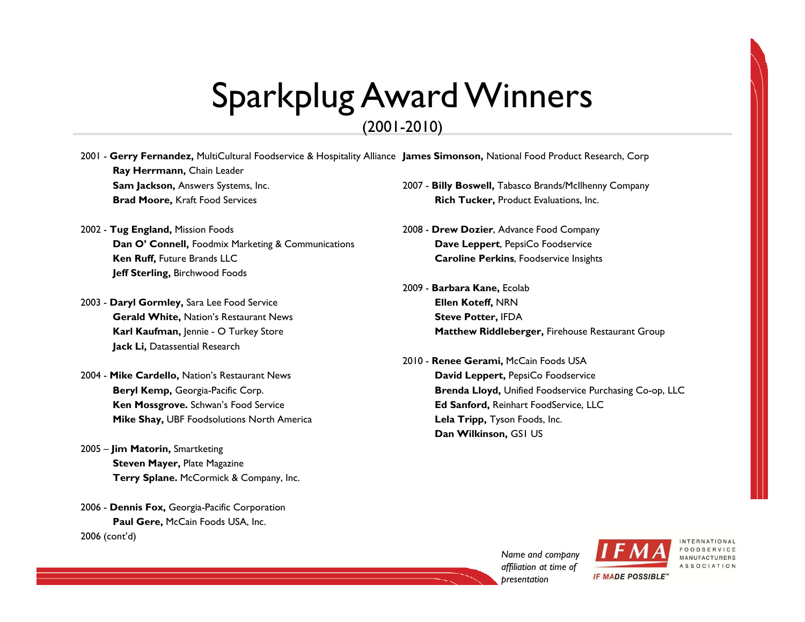#### (2001-2010)

- 2001 **Gerry Fernandez,** MultiCultural Foodservice & Hospitality Alliance **James Simonson,** National Food Product Research, Corp **Ray Herrmann,** Chain Leader **Sam Jackson,** Answers Systems, Inc. **Brad Moore,** Kraft Food Services 2007 - **Billy Boswell,** Tabasco Brands/McIlhenny Company
- 2002 **Tug England,** Mission Foods **Dan O' Connell,** Foodmix Marketing & Communications **Ken Ruff,** Future Brands LLC **Jeff Sterling,** Birchwood Foods
- 2003 **Daryl Gormley,** Sara Lee Food Service **Gerald White,** Nation's Restaurant News **Karl Kaufman,** Jennie - O Turkey Store **Jack Li,** Datassential Research
- 2004 **Mike Cardello,** Nation's Restaurant News **Beryl Kemp,** Georgia-Pacific Corp. **Ken Mossgrove.** Schwan's Food Service **Mike Shay,** UBF Foodsolutions North America
- 2005 **Jim Matorin,** Smartketing **Steven Mayer, Plate Magazine Terry Splane.** McCormick & Company, Inc.
- 2006 **Dennis Fox,** Georgia-Pacific Corporation **Paul Gere,** McCain Foods USA, Inc. 2006 (cont'd)
- **Rich Tucker,** Product Evaluations, Inc.
- 2008 **Drew Dozier**, Advance Food Company **Dave Leppert**, PepsiCo Foodservice **Caroline Perkins**, Foodservice Insights
- 2009 **Barbara Kane,** Ecolab **Ellen Koteff,** NRN **Steve Potter,** IFDA **Matthew Riddleberger,** Firehouse Restaurant Group
- 2010 **Renee Gerami,** McCain Foods USA **David Leppert,** PepsiCo Foodservice **Brenda Lloyd,** Unified Foodservice Purchasing Co-op, LLC **Ed Sanford,** Reinhart FoodService, LLC **Lela Tripp,** Tyson Foods, Inc. **Dan Wilkinson,** GS1 US

*Name and company affiliation at time of presentation*



**IF MADE POSSIBLE"** 

**MANUFACTURERS** ASSOCIATION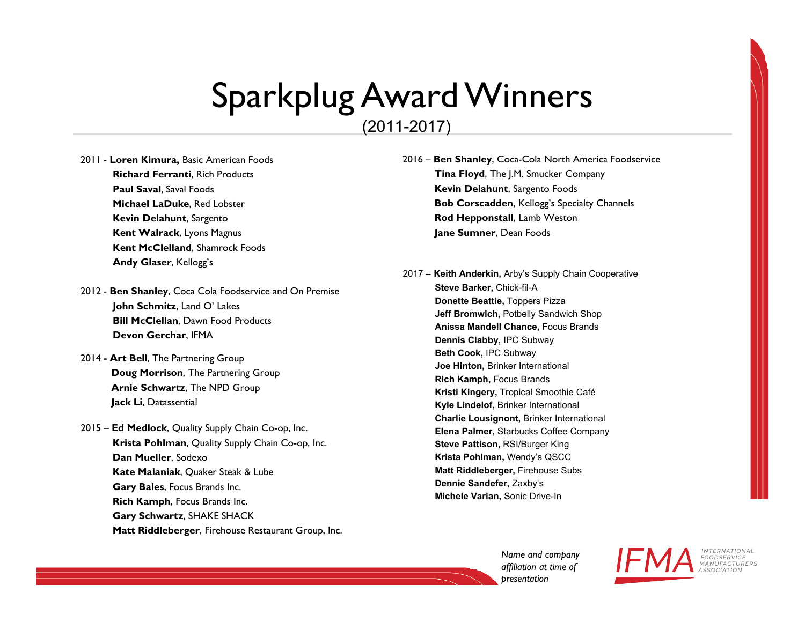#### (2011-2017)

2011 - **Loren Kimura,** Basic American Foods **Richard Ferranti**, Rich Products **Paul Saval**, Saval Foods **Michael LaDuke**, Red Lobster **Kevin Delahunt**, Sargento **Kent Walrack**, Lyons Magnus **Kent McClelland**, Shamrock Foods **Andy Glaser**, Kellogg's

- 2012 **Ben Shanley**, Coca Cola Foodservice and On Premise **John Schmitz**, Land O' Lakes **Bill McClellan**, Dawn Food Products **Devon Gerchar**, IFMA
- 2014 **- Art Bell**, The Partnering Group **Doug Morrison**, The Partnering Group **Arnie Schwartz**, The NPD Group **Jack Li**, Datassential
- 2015 **Ed Medlock**, Quality Supply Chain Co-op, Inc. **Krista Pohlman**, Quality Supply Chain Co-op, Inc. **Dan Mueller**, Sodexo **Kate Malaniak**, Quaker Steak & Lube **Gary Bales**, Focus Brands Inc. **Rich Kamph**, Focus Brands Inc. **Gary Schwartz**, SHAKE SHACK **Matt Riddleberger**, Firehouse Restaurant Group, Inc.

2016 – **Ben Shanley**, Coca-Cola North America Foodservice **Tina Floyd**, The J.M. Smucker Company **Kevin Delahunt**, Sargento Foods **Bob Corscadden**, Kellogg's Specialty Channels **Rod Hepponstall**, Lamb Weston **Jane Sumner**, Dean Foods

2017 – **Keith Anderkin,** Arby's Supply Chain Cooperative **Steve Barker,** Chick-fil-A **Donette Beattie,** Toppers Pizza **Jeff Bromwich,** Potbelly Sandwich Shop **Anissa Mandell Chance,** Focus Brands**Dennis Clabby,** IPC Subway**Beth Cook,** IPC Subway**Joe Hinton,** Brinker International**Rich Kamph,** Focus Brands **Kristi Kingery,** Tropical Smoothie Café**Kyle Lindelof,** Brinker International**Charlie Lousignont,** Brinker International**Elena Palmer,** Starbucks Coffee Company**Steve Pattison,** RSI/Burger King **Krista Pohlman,** Wendy's QSCC **Matt Riddleberger,** Firehouse Subs**Dennie Sandefer,** Zaxby's**Michele Varian,** Sonic Drive-In

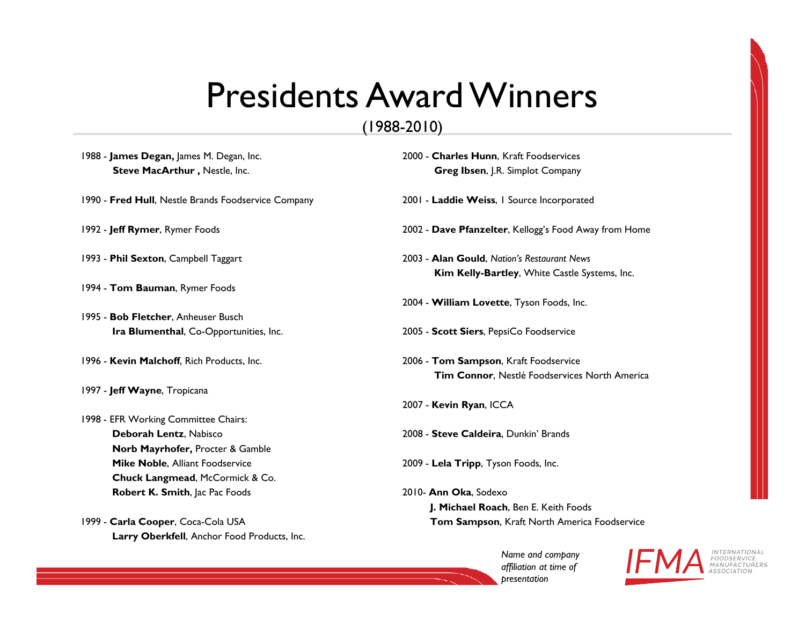### Presidents Award Winners

### (1988-2010)

| 1988 - James Degan, James M. Degan, Inc.            | 2000 - Charles Hunn, Kraft Foodservices                                                      |
|-----------------------------------------------------|----------------------------------------------------------------------------------------------|
| Steve MacArthur, Nestle, Inc.                       | <b>Greg Ibsen, J.R. Simplot Company</b>                                                      |
| 1990 - Fred Hull, Nestle Brands Foodservice Company | 2001 - Laddie Weiss, I Source Incorporated                                                   |
| 1992 - Jeff Rymer, Rymer Foods                      | 2002 - Dave Pfanzelter, Kellogg's Food Away from Home                                        |
| 1993 - Phil Sexton, Campbell Taggart                | 2003 - Alan Gould, Nation's Restaurant News<br>Kim Kelly-Bartley, White Castle Systems, Inc. |
| 1994 - Tom Bauman, Rymer Foods                      |                                                                                              |
|                                                     | 2004 - William Lovette, Tyson Foods, Inc.                                                    |
| 1995 - Bob Fletcher, Anheuser Busch                 |                                                                                              |
| Ira Blumenthal, Co-Opportunities, Inc.              | 2005 - Scott Siers, PepsiCo Foodservice                                                      |
| 1996 - Kevin Malchoff, Rich Products, Inc.          | 2006 - Tom Sampson, Kraft Foodservice                                                        |
|                                                     | Tim Connor, Nestlé Foodservices North America                                                |
| 1997 - Jeff Wayne, Tropicana                        |                                                                                              |
|                                                     | 2007 - Kevin Ryan, ICCA                                                                      |
| 1998 - EFR Working Committee Chairs:                |                                                                                              |
| Deborah Lentz, Nabisco                              | 2008 - Steve Caldeira, Dunkin' Brands                                                        |
| Norb Mayrhofer, Procter & Gamble                    |                                                                                              |
| Mike Noble, Alliant Foodservice                     | 2009 - Lela Tripp, Tyson Foods, Inc.                                                         |
| Chuck Langmead, McCormick & Co.                     |                                                                                              |
| Robert K. Smith, Jac Pac Foods                      | 2010- Ann Oka, Sodexo                                                                        |
|                                                     | J. Michael Roach, Ben E. Keith Foods                                                         |
| 1999 - Carla Cooper, Coca-Cola USA                  | Tom Sampson, Kraft North America Foodservice                                                 |
| Larry Oberkfell, Anchor Food Products, Inc.         |                                                                                              |

*Name and company affiliation at time of presentation*



INTERNATIONAL<br>FOODSERVICE<br>MANUFACTURERS<br>ASSOCIATION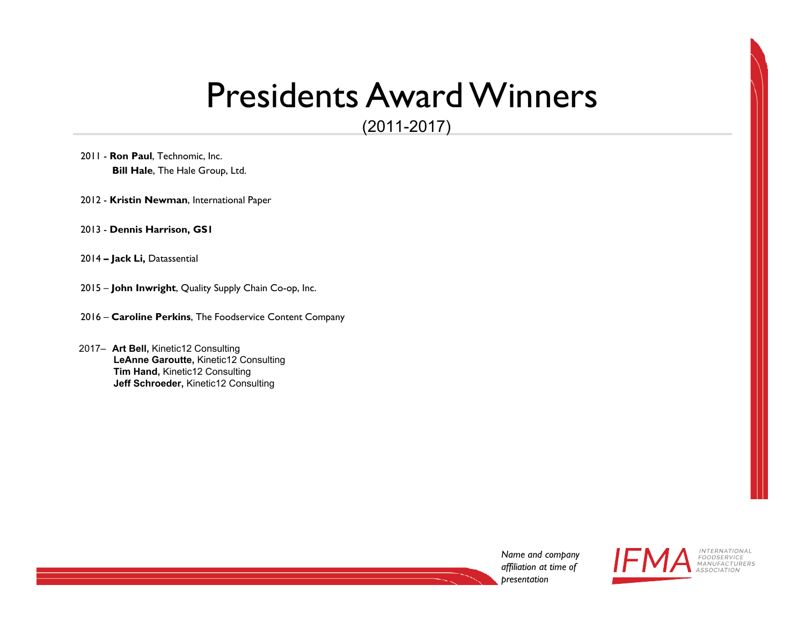### Presidents Award Winners

(2011-2017)

- 2011 **Ron Paul**, Technomic, Inc. **Bill Hale**, The Hale Group, Ltd.
- 2012 **Kristin Newman**, International Paper
- 2013 **Dennis Harrison, GS1**
- 2014 **– Jack Li,** Datassential
- 2015 **John Inwright**, Quality Supply Chain Co-op, Inc.
- 2016 **Caroline Perkins**, The Foodservice Content Company
- 2017– **Art Bell,** Kinetic12 Consulting **LeAnne Garoutte,** Kinetic12 Consulting**Tim Hand,** Kinetic12 Consulting **Jeff Schroeder,** Kinetic12 Consulting

*Name and company affiliation at time of presentation*



**INTERNATIONAL** FOODSERVICE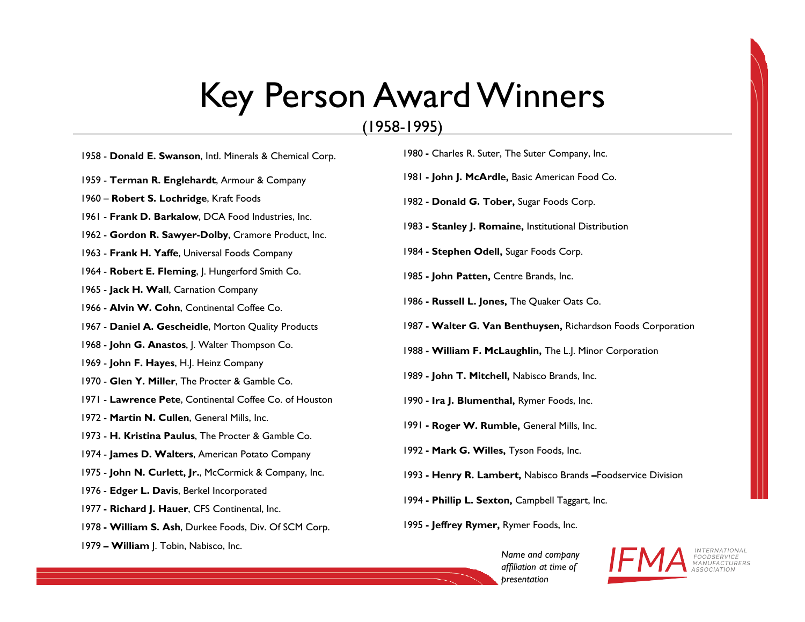## Key Person Award Winners

#### (1958-1995)

- 1958 **Donald E. Swanson**, Intl. Minerals & Chemical Corp.
- 1959 **Terman R. Englehardt**, Armour & Company
- 1960 **Robert S. Lochridge**, Kraft Foods
- 1961 **Frank D. Barkalow**, DCA Food Industries, Inc.
- 1962 **Gordon R. Sawyer-Dolby**, Cramore Product, Inc.
- 1963 **Frank H. Yaffe**, Universal Foods Company
- 1964 **Robert E. Fleming**, J. Hungerford Smith Co.
- 1965 **Jack H. Wall**, Carnation Company
- 1966 **Alvin W. Cohn**, Continental Coffee Co.
- 1967 **Daniel A. Gescheidle**, Morton Quality Products
- 1968 **John G. Anastos**, J. Walter Thompson Co.
- 1969 **John F. Hayes**, H.J. Heinz Company
- 1970 **Glen Y. Miller**, The Procter & Gamble Co.
- 1971 **Lawrence Pete**, Continental Coffee Co. of Houston
- 1972 **Martin N. Cullen**, General Mills, Inc.
- 1973 **H. Kristina Paulus**, The Procter & Gamble Co.
- 1974 **James D. Walters**, American Potato Company
- 1975 **John N. Curlett, Jr.**, McCormick & Company, Inc.
- 1976 **Edger L. Davis**, Berkel Incorporated
- 1977 **- Richard J. Hauer**, CFS Continental, Inc.
- 1978 **- William S. Ash**, Durkee Foods, Div. Of SCM Corp.
- 1979 **– William** J. Tobin, Nabisco, Inc.
- 1980 **-** Charles R. Suter, The Suter Company, Inc.
- 1981 **- John J. McArdle,** Basic American Food Co.
- 1982 **- Donald G. Tober,** Sugar Foods Corp.
- 1983 **- Stanley J. Romaine,** Institutional Distribution
- 1984 **- Stephen Odell,** Sugar Foods Corp.
- 1985 **- John Patten,** Centre Brands, Inc.
- 1986 **- Russell L. Jones,** The Quaker Oats Co.
- 1987 **- Walter G. Van Benthuysen,** Richardson Foods Corporation
- 1988 **- William F. McLaughlin,** The L.J. Minor Corporation
- 1989 **- John T. Mitchell,** Nabisco Brands, Inc.
- 1990 **- Ira J. Blumenthal,** Rymer Foods, Inc.
- 1991 **- Roger W. Rumble,** General Mills, Inc.
- 1992 **- Mark G. Willes,** Tyson Foods, Inc.
- 1993 **- Henry R. Lambert,** Nabisco Brands **–**Foodservice Division
- 1994 **- Phillip L. Sexton,** Campbell Taggart, Inc.
- 1995 **- Jeffrey Rymer,** Rymer Foods, Inc.
	- *Name and company affiliation at time of presentation*